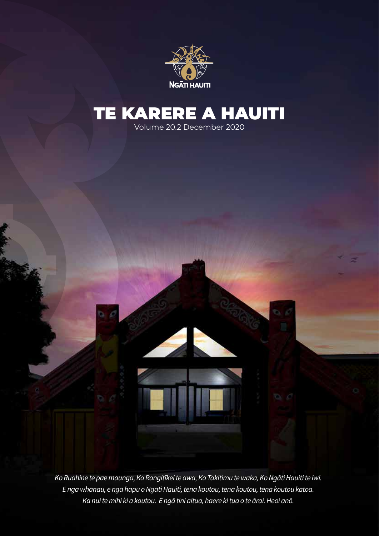

# TE KARERE A HAUITI

Volume 20.2 December 2020

*Ko Ruahine te pae maunga, Ko Rangitīkei te awa, Ko Takitimu te waka, Ko Ngāti Hauiti te iwi. E ngā whānau, e ngā hapū o Ngāti Hauiti, tēnā koutou, tēnā koutou, tēnā koutou katoa. Ka nui te mihi ki a koutou. E ngā tini aitua, haere ki tua o te ārai. Heoi anō.*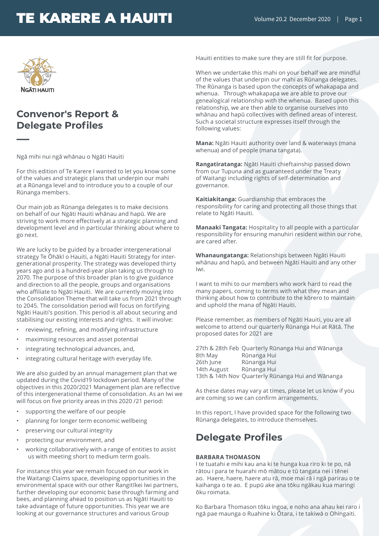

**—**

### **Convenor's Report & Delegate Profiles**

Ngā mihi nui ngā whānau o Ngāti Hauiti

For this edition of Te Karere I wanted to let you know some of the values and strategic plans that underpin our mahi at a Rūnanga level and to introduce you to a couple of our Rūnanga members.

Our main job as Rūnanga delegates is to make decisions on behalf of our Ngāti Hauiti whānau and hapū. We are striving to work more effectively at a strategic planning and development level and in particular thinking about where to go next.

We are lucky to be guided by a broader intergenerational strategy Te Ōhākī o Hauiti, a Ngāti Hauiti Strategy for intergenerational prosperity. The strategy was developed thirty years ago and is a hundred-year plan taking us through to 2070. The purpose of this broader plan is to give guidance and direction to all the people, groups and organisations who affiliate to Ngāti Hauiti. We are currently moving into the Consolidation Theme that will take us from 2021 through to 2045. The consolidation period will focus on fortifying Ngāti Hauiti's position. This period is all about securing and stabilising our existing interests and rights. It will involve:

- reviewing, refining, and modifying infrastructure
- maximising resources and asset potential
- integrating technological advances, and,
- integrating cultural heritage with everyday life.

We are also guided by an annual management plan that we updated during the Covid19 lockdown period. Many of the objectives in this 2020/2021 Management plan are reflective of this intergenerational theme of consolidation. As an Iwi we will focus on five priority areas in this 2020 /21 period:

- supporting the welfare of our people
- planning for longer term economic wellbeing
- preserving our cultural integrity
- protecting our environment, and
- working collaboratively with a range of entities to assist us with meeting short to medium term goals.

For instance this year we remain focused on our work in the Waitangi Claims space, developing opportunities in the environmental space with our other Rangitīkei Iwi partners, further developing our economic base through farming and bees, and planning ahead to position us as Ngāti Hauiti to take advantage of future opportunities. This year we are looking at our governance structures and various Group

Hauiti entities to make sure they are still fit for purpose.

When we undertake this mahi on your behalf we are mindful of the values that underpin our mahi as Rūnanga delegates. The Rūnanga is based upon the concepts of whakapapa and whenua. Through whakapapa we are able to prove our genealogical relationship with the whenua. Based upon this relationship, we are then able to organise ourselves into whānau and hapū collectives with defined areas of interest. Such a societal structure expresses itself through the following values:

**Mana:** Ngāti Hauiti authority over land & waterways (mana whenua) and of people (mana tangata).

**Rangatiratanga:** Ngāti Hauiti chieftainship passed down from our Tupuna and as guaranteed under the Treaty of Waitangi including rights of self-determination and governance.

**Kaitiakitanga:** Guardianship that embraces the responsibility for caring and protecting all those things that relate to Ngāti Hauiti.

**Manaaki Tangata:** Hospitality to all people with a particular responsibility for ensuring manuhiri resident within our rohe, are cared after.

**Whanaungatanga:** Relationships between Ngāti Hauiti whānau and hapū, and between Ngāti Hauiti and any other Iwi.

I want to mihi to our members who work hard to read the many papers, coming to terms with what they mean and thinking about how to contribute to the kōrero to maintain and uphold the mana of Ngāti Hauiti.

Please remember, as members of Ngāti Hauiti, you are all welcome to attend our quarterly Rūnanga Hui at Rātā. The proposed dates for 2021 are

27th & 28th Feb Quarterly Rūnanga Hui and Wānanga 8th May Rūnanga Hui 26th June Rūnanga Hui 14th August Rūnanga Hui 13th & 14th Nov Quarterly Rūnanga Hui and Wānanga

As these dates may vary at times, please let us know if you are coming so we can confirm arrangements.

In this report, I have provided space for the following two Rūnanga delegates, to introduce themselves.

### **Delegate Profiles**

#### **BARBARA THOMASON**

I te tuatahi e mihi kau ana ki te hunga kua riro ki te po, nā rātou i para te huarahi mō mātou e tū tangata nei i tēnei ao. Haere, haere, haere atu rā, moe mai rā i ngā parirau o te kaihanga o te ao. E pupū ake ana tōku ngākau kua maringi ōku roimata.

Ko Barbara Thomason tōku ingoa, e noho ana ahau kei raro i ngā pae maunga o Ruahine ki Ōtara, i te takiwā o Ohingaiti.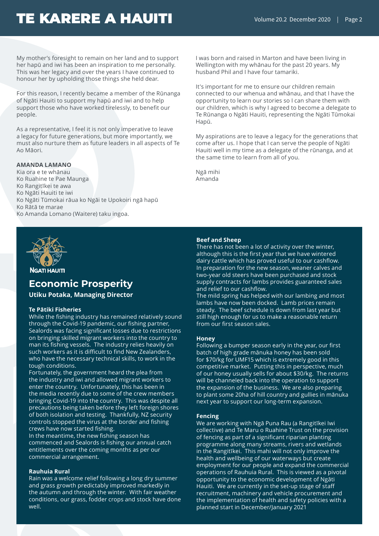My mother's foresight to remain on her land and to support her hapū and iwi has been an inspiration to me personally. This was her legacy and over the years I have continued to honour her by upholding those things she held dear.

For this reason, I recently became a member of the Rūnanga of Ngāti Hauiti to support my hapū and iwi and to help support those who have worked tirelessly, to benefit our people.

As a representative, I feel it is not only imperative to leave a legacy for future generations, but more importantly, we must also nurture them as future leaders in all aspects of Te Ao Māori.

#### **AMANDA LAMANO**

Kia ora e te whānau Ko Ruahine te Pae Maunga Ko Rangitīkei te awa Ko Ngāti Hauiti te iwi Ko Ngāti Tūmokai rāua ko Ngāi te Upokoiri ngā hapū Ko Rātā te marae Ko Amanda Lomano (Waitere) taku ingoa.



**NGATI HAUITI** 

### **Economic Prosperity**

**Utiku Potaka, Managing Director**

#### **Te Pātiki Fisheries**

While the fishing industry has remained relatively sound through the Covid-19 pandemic, our fishing partner, Sealords was facing significant losses due to restrictions on bringing skilled migrant workers into the country to man its fishing vessels. The industry relies heavily on such workers as it is difficult to find New Zealanders, who have the necessary technical skills, to work in the tough conditions.

Fortunately, the government heard the plea from the industry and iwi and allowed migrant workers to enter the country. Unfortunately, this has been in the media recently due to some of the crew members bringing Covid-19 into the country. This was despite all precautions being taken before they left foreign shores of both isolation and testing. Thankfully, NZ security controls stopped the virus at the border and fishing crews have now started fishing.

In the meantime, the new fishing season has commenced and Sealords is fishing our annual catch entitlements over the coming months as per our commercial arrangement.

#### **Rauhuia Rural**

Rain was a welcome relief following a long dry summer and grass growth predictably improved markedly in the autumn and through the winter. With fair weather conditions, our grass, fodder crops and stock have done well.

I was born and raised in Marton and have been living in Wellington with my whānau for the past 20 years. My husband Phil and I have four tamariki.

It's important for me to ensure our children remain connected to our whenua and whānau, and that I have the opportunity to learn our stories so I can share them with our children, which is why I agreed to become a delegate to Te Rūnanga o Ngāti Hauiti, representing the Ngāti Tūmokai Hapū.

My aspirations are to leave a legacy for the generations that come after us. I hope that I can serve the people of Ngāti Hauiti well in my time as a delegate of the rūnanga, and at the same time to learn from all of you.

Ngā mihi Amanda

#### **Beef and Sheep**

There has not been a lot of activity over the winter, although this is the first year that we have wintered dairy cattle which has proved useful to our cashflow. In preparation for the new season, weaner calves and two-year old steers have been purchased and stock supply contracts for lambs provides guaranteed sales and relief to our cashflow.

The mild spring has helped with our lambing and most lambs have now been docked. Lamb prices remain steady. The beef schedule is down from last year but still high enough for us to make a reasonable return from our first season sales.

#### **Honey**

Following a bumper season early in the year, our first batch of high grade mānuka honey has been sold for \$70/kg for UMF15 which is extremely good in this competitive market. Putting this in perspective, much of our honey usually sells for about \$30/kg. The returns will be channeled back into the operation to support the expansion of the business. We are also preparing to plant some 20ha of hill country and gullies in mānuka next year to support our long-term expansion.

#### **Fencing**

We are working with Ngā Puna Rau (a Rangitīkei Iwi collective) and Te Maru o Ruahine Trust on the provision of fencing as part of a significant riparian planting programme along many streams, rivers and wetlands in the Rangitīkei. This mahi will not only improve the health and wellbeing of our waterways but create employment for our people and expand the commercial operations of Rauhuia Rural. This is viewed as a pivotal opportunity to the economic development of Ngāti Hauiti. We are currently in the set-up stage of staff recruitment, machinery and vehicle procurement and the implementation of health and safety policies with a planned start in December/January 2021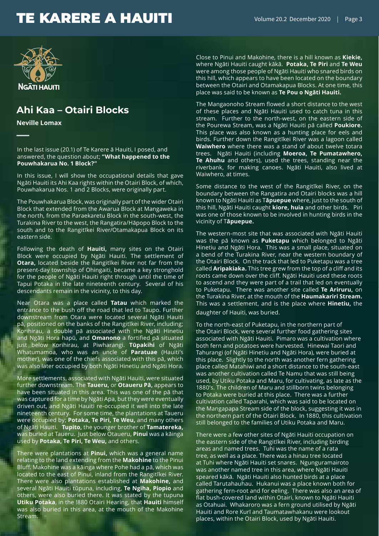

### **Ahi Kaa – Otairi Blocks**

**Neville Lomax**

**—**

In the last issue (20.1) of Te Karere ā Hauiti, I posed, and answered, the question about; **"What happened to the Pouwhakarua No. 1 Block?"**

In this issue, I will show the occupational details that gave Ngāti Hauiti its Ahi Kaa rights within the Otairi Block, of which, Pouwhakarua Nos. 1 and 2 Blocks, were originally part.

The Pouwhakarua Block, was originally part of the wider Otairi Block that extended from the Awarua Block at Mangaweka in the north, from the Paraekaretu Block in the south-west, the Turakina River to the west, the Rangatira/Hāpopo Block to the south and to the Rangitīkei River/Otamakapua Block on its eastern side.

Following the death of **Hauiti,** many sites on the Otairi Block were occupied by Ngāti Hauiti. The settlement of **Otara,** located beside the Rangitīkei River not far from the present-day township of Ohingaiti, became a key stronghold for the people of Ngāti Hauiti right through until the time of Tapui Potaka in the late nineteenth century. Several of his descendants remain in the vicinity, to this day.

Near Otara was a place called **Tatau** which marked the entrance to the bush off the road that led to Taupo. Further downstream from Otara were located several Ngāti Hauiti pā, positioned on the banks of the Rangitīkei River, including; Korihirau, a double pā associated with the Ngāti Hinetiu and Ngāti Hora hapū, and **Omanono** a fortified pā situated just below Korihirau, at Piwharangi. **Tūpakihi** of Ngāti Whatumamoa, who was an uncle of **Paratuae** (Hauiti's mother), was one of the chiefs associated with this pā, which was also later occupied by both Ngāti Hinetiu and Ngāti Hora.

More settlements, associated with Ngāti Hauiti, were situated further downstream. The **Taueru,** or **Otaueru Pā,** appears to have been situated in this area. This was one of the pā that was captured for a time by Ngāti Apa, but they were eventually driven out, and Ngāti Hauiti re-occupied it well into the late nineteenth century. For some time, the plantations at Taueru were occupied by; **Potaka, Te Piri, Te Weu,** and many others of Ngāti Hauiti. **Tupito,** the younger brother of **Tamatereka,**  was buried at Taueru. Just below Otaueru, **Pinui** was a kāinga used by **Potaka, Te Piri, Te Weu,** and others.

There were plantations at **Pinui,** which was a general name relating to the land extending from the **Makohine** to the Pinui Bluff. Makohine was a kāinga where Pohe had a pā, which was located to the east of Pinui, inland from the Rangitīkei River. There were also plantations established at **Makohine,** and several Ngāti Hauiti tūpuna, including, **Te Ngiha, Piopio** and others, were also buried there. It was stated by the tupuna **Utiku Potaka**, in the !880 Otairi Hearing, that **Hauiti** himself was also buried in this area, at the mouth of the Makohine Stream.

Close to Pinui and Makohine, there is a hill known as **Kiekie,** where Ngāti Hauiti caught kākā. **Potaka, Te Piri** and **Te Weu** were among those people of Ngāti Hauiti who snared birds on this hill, which appears to have been located on the boundary between the Otairi and Otamakapua Blocks. At one time, this place was said to be known as **Te Pou o Ngāti Hauiti.**

The Mangaonoho Stream flowed a short distance to the west of these places and Ngāti Hauiti used to catch tuna in this stream. Further to the north-west, on the eastern side of the Pourewa Stream, was a Ngāti Hauiti pā called **Poukiore.**  This place was also known as a hunting place for eels and birds. Further down the Rangitīkei River was a lagoon called **Waiwhero** where there was a stand of about twelve totara trees. Ngāti Hauiti (including **Moeroa, Te Pumatawhero, Te Ahuhu** and others), used the trees, standing near the riverbank, for making canoes. Ngāti Hauiti, also lived at Waiwhero, at times.

Some distance to the west of the Rangitīkei River, on the boundary between the Rangatira and Otairi blocks was a hill known to Ngāti Hauiti as T**āpuepue** where, just to the south of this hill, Ngāti Hauiti caught **kiore, huia** and other birds. Piri was one of those known to be involved in hunting birds in the vicinity of T**āpuepue.** 

The western-most site that was associated with Ngāti Hauiti was the pā known as **Puketapu** which belonged to Ngāti Hinetiu and Ngāti Hora. This was a small place, situated on a bend of the Turakina River, near the western boundary of the Otairi Block. On the track that led to Puketapu was a tree called **Aripakiaka.** This tree grew from the top of a cliff and its roots came down over the cliff. Ngāti Hauiti used these roots to ascend and they were part of a trail that led on eventually to Puketapu. There was another site called **Te Ariruru,** on the Turakina River, at the mouth of the **Haumakariri Stream.**  This was a settlement, and is the place where **Hinetiu,** the daughter of Hauiti, was buried.

To the north-east of Puketapu, in the northern part of the Otairi Block, were several further food gathering sites associated with Ngāti Hauiti. Pimaro was a cultivation where both fern and potatoes were harvested. Hinewai Taori and Tahurangi (of Ngāti Hinetiu and Ngāti Hora), were buried at this place. Slightly to the north was another fern gathering place called Matahiwi and a short distance to the south-east was another cultivation called Te Namu that was still being used, by Utiku Potaka and Maru, for cultivating, as late as the 1880's. The children of Maru and stillborn twins belonging to Potaka were buried at this place. There was a further cultivation called Taparahi, which was said to be located on the Mangapapa Stream side of the block, suggesting it was in the northern part of the Otairi Block. In 1880, this cultivation still belonged to the families of Utiku Potaka and Maru.

There were a few other sites of Ngāti Hauiti occupation on the eastern side of the Rangitīkei River, including birding areas and named trees. Tuhi was the name of a rata tree, as well as a place. There was a hinau tree located at Tuhi where Ngāti Hauiti set snares. Ngunguramairoto was another named tree in this area, where Ngāti Hauiti speared kākā. Ngāti Hauiti also hunted birds at a place called Tarutahauhau. Hukanui was a place known both for gathering fern-root and for eeling. There was also an area of flat bush-covered land within Otairi, known to Ngāti Hauiti as Otahuai. Whakaroro was a fern ground utilised by Ngāti Hauiti and Rore Kurī and Taumatawhakanu were lookout places, within the Otairi Block, used by Ngāti Hauiti.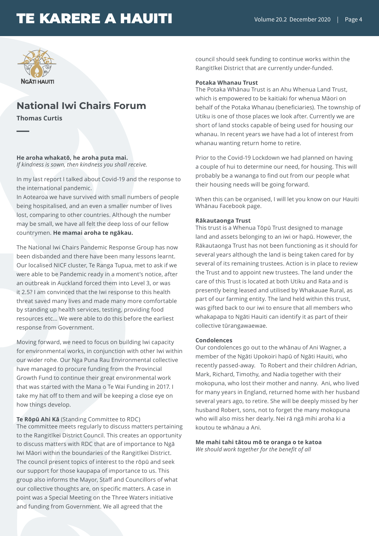

### **National Iwi Chairs Forum**

**Thomas Curtis**

**—**

**He aroha whakatō, he aroha puta mai.** *If kindness is sown, then kindness you shall receive.*

In my last report I talked about Covid-19 and the response to the international pandemic.

In Aotearoa we have survived with small numbers of people being hospitalised, and an even a smaller number of lives lost, comparing to other countries. Although the number may be small, we have all felt the deep loss of our fellow countrymen. **He mamai aroha te ngākau.**

The National Iwi Chairs Pandemic Response Group has now been disbanded and there have been many lessons learnt. Our localised NICF cluster, Te Ranga Tupua, met to ask if we were able to be Pandemic ready in a moment's notice, after an outbreak in Auckland forced them into Level 3, or was it 2.5? I am convinced that the Iwi response to this health threat saved many lives and made many more comfortable by standing up health services, testing, providing food resources etc… We were able to do this before the earliest response from Government.

Moving forward, we need to focus on building Iwi capacity for environmental works, in conjunction with other Iwi within our wider rohe. Our Nga Puna Rau Environmental collective have managed to procure funding from the Provincial Growth Fund to continue their great environmental work that was started with the Mana o Te Wai Funding in 2017. I take my hat off to them and will be keeping a close eye on how things develop.

#### **Te Rōpū Ahi Kā** (Standing Committee to RDC)

The committee meets regularly to discuss matters pertaining to the Rangitīkei District Council. This creates an opportunity to discuss matters with RDC that are of importance to Ngā Iwi Māori within the boundaries of the Rangitīkei District. The council present topics of interest to the rōpū and seek our support for those kaupapa of importance to us. This group also informs the Mayor, Staff and Councillors of what our collective thoughts are, on specific matters. A case in point was a Special Meeting on the Three Waters initiative and funding from Government. We all agreed that the

council should seek funding to continue works within the Rangitīkei District that are currently under-funded.

#### **Potaka Whanau Trust**

The Potaka Whānau Trust is an Ahu Whenua Land Trust, which is empowered to be kaitiaki for whenua Māori on behalf of the Potaka Whanau (beneficiaries). The township of Utiku is one of those places we look after. Currently we are short of land stocks capable of being used for housing our whanau. In recent years we have had a lot of interest from whanau wanting return home to retire.

Prior to the Covid-19 Lockdown we had planned on having a couple of hui to determine our need, for housing. This will probably be a wananga to find out from our people what their housing needs will be going forward.

When this can be organised, I will let you know on our Hauiti Whānau Facebook page.

#### **Rākautaonga Trust**

This trust is a Whenua Tōpū Trust designed to manage land and assets belonging to an iwi or hapū. However, the Rākautaonga Trust has not been functioning as it should for several years although the land is being taken cared for by several of its remaining trustees. Action is in place to review the Trust and to appoint new trustees. The land under the care of this Trust is located at both Utiku and Rata and is presently being leased and utilised by Whakauae Rural, as part of our farming entity. The land held within this trust, was gifted back to our iwi to ensure that all members who whakapapa to Ngāti Hauiti can identify it as part of their collective tūrangawaewae.

#### **Condolences**

Our condolences go out to the whānau of Ani Wagner, a member of the Ngāti Upokoiri hapū of Ngāti Hauiti, who recently passed-away. To Robert and their children Adrian, Mark, Richard, Timothy, and Nadia together with their mokopuna, who lost their mother and nanny. Ani, who lived for many years in England, returned home with her husband several years ago, to retire. She will be deeply missed by her husband Robert, sons, not to forget the many mokopuna who will also miss her dearly. Nei rā ngā mihi aroha ki a koutou te whānau a Ani.

**Me mahi tahi tātou mō te oranga o te katoa** *We should work together for the benefit of all*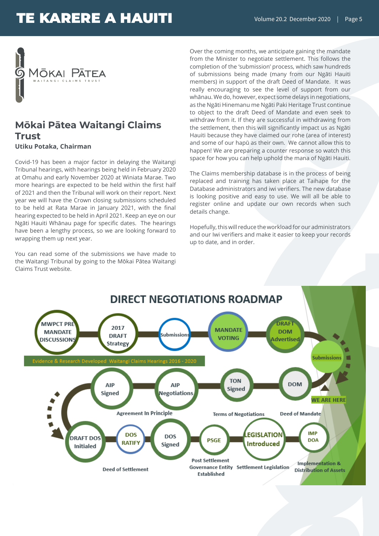

### **Mōkai Pātea Waitangi Claims Trust Utiku Potaka, Chairman**

Covid-19 has been a major factor in delaying the Waitangi Tribunal hearings, with hearings being held in February 2020 at Omahu and early November 2020 at Winiata Marae. Two more hearings are expected to be held within the first half of 2021 and then the Tribunal will work on their report. Next year we will have the Crown closing submissions scheduled to be held at Rata Marae in January 2021, with the final hearing expected to be held in April 2021. Keep an eye on our Ngāti Hauiti Whānau page for specific dates. The hearings have been a lengthy process, so we are looking forward to wrapping them up next year.

You can read some of the submissions we have made to the Waitangi Tribunal by going to the Mōkai Pātea Waitangi Claims Trust website.

Over the coming months, we anticipate gaining the mandate from the Minister to negotiate settlement. This follows the completion of the 'submission' process, which saw hundreds of submissions being made (many from our Ngāti Hauiti members) in support of the draft Deed of Mandate. It was really encouraging to see the level of support from our whānau. We do, however, expect some delays in negotiations, as the Ngāti Hinemanu me Ngāti Paki Heritage Trust continue to object to the draft Deed of Mandate and even seek to withdraw from it. If they are successful in withdrawing from the settlement, then this will significantly impact us as Ngāti Hauiti because they have claimed our rohe (area of interest) and some of our hapū as their own. We cannot allow this to happen! We are preparing a counter response so watch this space for how you can help uphold the mana of Ngāti Hauiti.

The Claims membership database is in the process of being replaced and training has taken place at Taihape for the Database administrators and iwi verifiers. The new database is looking positive and easy to use. We will all be able to register online and update our own records when such details change.

Hopefully, this will reduce the workload for our administrators and our Iwi verifiers and make it easier to keep your records up to date, and in order.

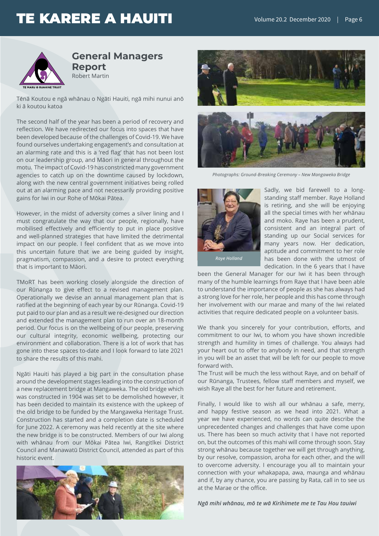

#### **General Managers Report** Robert Martin

Tēnā Koutou e ngā whānau o Ngāti Hauiti, ngā mihi nunui anō ki ā koutou katoa

The second half of the year has been a period of recovery and reflection. We have redirected our focus into spaces that have been developed because of the challenges of Covid-19. We have found ourselves undertaking engagement's and consultation at an alarming rate and this is a 'red flag' that has not been lost on our leadership group, and Māori in general throughout the motu. The impact of Covid-19 has constricted many government agencies to catch up on the downtime caused by lockdown, along with the new central government initiatives being rolled out at an alarming pace and not necessarily providing positive gains for Iwi in our Rohe of Mōkai Pātea.

However, in the midst of adversity comes a silver lining and I must congratulate the way that our people, regionally, have mobilised effectively and efficiently to put in place positive and well-planned strategies that have limited the detrimental impact on our people. I feel confident that as we move into this uncertain future that we are being guided by insight, pragmatism, compassion, and a desire to protect everything that is important to Māori.

TMoRT has been working closely alongside the direction of our Rūnanga to give effect to a revised management plan. Operationally we devise an annual management plan that is ratified at the beginning of each year by our Rūnanga. Covid-19 put paid to our plan and as a result we re-designed our direction and extended the management plan to run over an 18-month period. Our focus is on the wellbeing of our people, preserving our cultural integrity, economic wellbeing, protecting our environment and collaboration. There is a lot of work that has gone into these spaces to-date and I look forward to late 2021 to share the results of this mahi.

Ngāti Hauiti has played a big part in the consultation phase around the development stages leading into the construction of a new replacement bridge at Mangaweka. The old bridge which was constructed in 1904 was set to be demolished however, it has been decided to maintain its existence with the upkeep of the old bridge to be funded by the Mangaweka Heritage Trust. Construction has started and a completion date is scheduled for June 2022. A ceremony was held recently at the site where the new bridge is to be constructed. Members of our Iwi along with whānau from our Mōkai Pātea Iwi, Rangitīkei District Council and Manawatū District Council, attended as part of this historic event.







*Photographs: Ground-Breaking Ceremony – New Mangaweka Bridge* 



Sadly, we bid farewell to a longstanding staff member. Raye Holland is retiring, and she will be enjoying all the special times with her whānau and moko. Raye has been a prudent, consistent and an integral part of standing up our Social services for many years now. Her dedication, aptitude and commitment to her role has been done with the utmost of dedication. In the 6 years that I have

been the General Manager for our Iwi it has been through many of the humble learnings from Raye that I have been able to understand the importance of people as she has always had a strong love for her role, her people and this has come through her involvement with our marae and many of the Iwi related activities that require dedicated people on a volunteer basis.

We thank you sincerely for your contribution, efforts, and commitment to our Iwi, to whom you have shown incredible strength and humility in times of challenge. You always had your heart out to offer to anybody in need, and that strength in you will be an asset that will be left for our people to move forward with.

The Trust will be much the less without Raye, and on behalf of our Rūnanga, Trustees, fellow staff members and myself, we wish Raye all the best for her future and retirement.

Finally, I would like to wish all our whānau a safe, merry, and happy festive season as we head into 2021. What a year we have experienced, no words can quite describe the unprecedented changes and challenges that have come upon us. There has been so much activity that I have not reported on, but the outcomes of this mahi will come through soon. Stay strong whānau because together we will get through anything, by our resolve, compassion, aroha for each other, and the will to overcome adversity. I encourage you all to maintain your connection with your whakapapa, awa, maunga and whānau and if, by any chance, you are passing by Rata, call in to see us at the Marae or the office.

*Ngā mihi whānau, mō te wā Kirihimete me te Tau Hou tauiwi*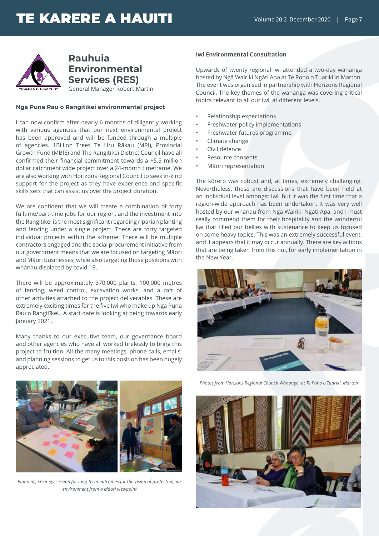

**Rauhuia Environmental Services (RES)** General Manager Robert Martin

#### **Ngā Puna Rau o Rangitīkei environmental project**

I can now confirm after nearly 6 months of diligently working with various agencies that our next environmental project has been approved and will be funded through a multiple of agencies. 1Billion Trees Te Uru Rākau (MPI), Provincial Growth Fund (MBIE) and The Rangitīkei District Council have all confirmed their financial commitment towards a \$5.5 million dollar catchment wide project over a 24-month timeframe. We are also working with Horizons Regional Council to seek in-kind support for the project as they have experience and specific skills sets that can assist us over the project duration.

We are confident that we will create a combination of forty fulltime/part-time jobs for our region, and the investment into the Rangitīkei is the most significant regarding riparian planting and fencing under a single project. There are forty targeted individual projects within the scheme. There will be multiple contractors engaged and the social procurement initiative from our government means that we are focused on targeting Māori and Māori businesses, while also targeting those positions with whānau displaced by covid-19.

There will be approximately 370,000 plants, 100,000 metres of fencing, weed control, excavation works, and a raft of other activities attached to the project deliverables. These are extremely exciting times for the five Iwi who make up Nga Puna Rau o Rangitīkei. A start date is looking at being towards early January 2021.

Many thanks to our executive team, our governance board and other agencies who have all worked tirelessly to bring this project to fruition. All the many meetings, phone calls, emails, and planning sessions to get us to this position has been hugely appreciated.

#### **Iwi Environmental Consultation**

Upwards of twenty regional Iwi attended a two-day wānanga hosted by Ngā Wairiki Ngāti Apa at Te Poho o Tuariki in Marton. The event was organised in partnership with Horizons Regional Council. The key themes of the wānanga was covering critical topics relevant to all our Iwi, at different levels.

- Relationship expectations
- Freshwater policy implementations
- Freshwater futures programme
- Climate change
- Civil defence
- Resource consents
- Māori representation

The kōrero was robust and, at times, extremely challenging. Nevertheless, these are discussions that have been held at an individual level amongst Iwi, but it was the first time that a region-wide approach has been undertaken. It was very well hosted by our whānau from Ngā Wairiki Ngāti Apa, and I must really commend them for their hospitality and the wonderful kai that filled our bellies with sustenance to keep us focused on some heavy topics. This was an extremely successful event, and it appears that it may occur annually. There are key actions that are being taken from this hui, for early implementation in the New Year.





*Planning, strategy session for long-term outcomes for the vision of protecting our environment from a Māori viewpoint*

*Photos from Horizons Regional Council Wānanga, at Te Poho o Tuariki, Marton*

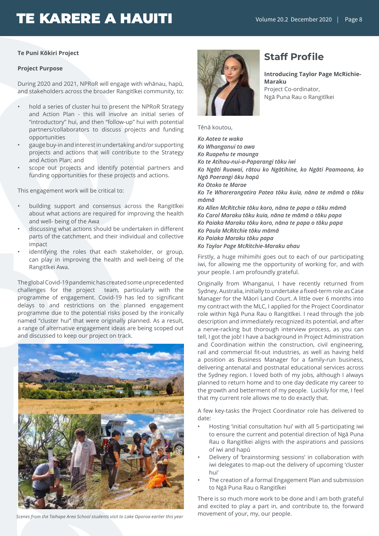#### **Te Puni Kōkiri Project**

#### **Project Purpose**

During 2020 and 2021, NPRoR will engage with whānau, hapū, and stakeholders across the broader Rangitīkei community, to:

- hold a series of cluster hui to present the NPRoR Strategy and Action Plan - this will involve an initial series of "introductory" hui, and then "follow-up" hui with potential partners/collaborators to discuss projects and funding opportunities
- gauge buy-in and interest in undertaking and/or supporting projects and actions that will contribute to the Strategy and Action Plan; and
- scope out projects and identify potential partners and funding opportunities for these projects and actions.

This engagement work will be critical to:

- building support and consensus across the Rangitīkei about what actions are required for improving the health and well- being of the Awa
- discussing what actions should be undertaken in different parts of the catchment, and their individual and collective impact
- identifying the roles that each stakeholder, or group, can play in improving the health and well-being of the Rangitīkei Awa.

The global Covid-19 pandemic has created some unprecedented challenges for the project team, particularly with the programme of engagement. Covid-19 has led to significant delays to and restrictions on the planned engagement programme due to the potential risks posed by the ironically named "cluster hui" that were originally planned. As a result, a range of alternative engagement ideas are being scoped out and discussed to keep our project on track.



movement of your, my, our people. *Scenes from the Taihape Area School students visit to Lake Oporoa earlier this year*



### **Staff Profile**

**Introducing Taylor Page McRichie-Maraku** Project Co-ordinator, Ngā Puna Rau o Rangitīkei

Tēnā koutou,

*Ko Aotea te waka Ko Whanganui to awa Ko Ruapehu te maunga Ko te Atihau-nui-a-Paparangi tōku iwi Ko Ngāti Ruawai, rātou ko Ngātihine, ko Ngāti Paamoana, ko Ngā Paerangi ōku hapū Ko Otoko te Marae Ko Te Wharerangatira Patea tōku kuia, nāna te māmā o tōku māmā Ko Allen McRitchie tōku koro, nāna te papa o tōku māmā Ko Carol Maraku tōku kuia, nāna te māmā o tōku papa Ko Paiaka Maraku tōku koro, nāna te papa o tōku papa Ko Paula McRitchie tōku māmā Ko Paiaka Maraku tōku papa Ko Taylor Page McRitchie-Maraku ahau*

Firstly, a huge mihimihi goes out to each of our participating iwi, for allowing me the opportunity of working for, and with your people. I am profoundly grateful.

Originally from Whanganui, I have recently returned from Sydney, Australia, initially to undertake a fixed-term role as Case Manager for the Māori Land Court. A little over 6 months into my contract with the MLC, I applied for the Project Coordinator role within Ngā Puna Rau o Rangitīkei. I read through the job description and immediately recognized its potential, and after a nerve-racking but thorough interview process, as you can tell, I got the job! I have a background in Project Administration and Coordination within the construction, civil engineering, rail and commercial fit-out industries, as well as having held a position as Business Manager for a family-run business, delivering antenatal and postnatal educational services across the Sydney region. I loved both of my jobs, although I always planned to return home and to one day dedicate my career to the growth and betterment of my people. Luckily for me, I feel that my current role allows me to do exactly that.

A few key-tasks the Project Coordinator role has delivered to date:

- Hosting 'initial consultation hui' with all 5-participating iwi to ensure the current and potential direction of Ngā Puna Rau o Rangitīkei aligns with the aspirations and passions of iwi and hapū
- Delivery of 'brainstorming sessions' in collaboration with iwi delegates to map-out the delivery of upcoming 'cluster hui'
- The creation of a formal Engagement Plan and submission to Ngā Puna Rau o Rangitīkei

There is so much more work to be done and I am both grateful and excited to play a part in, and contribute to, the forward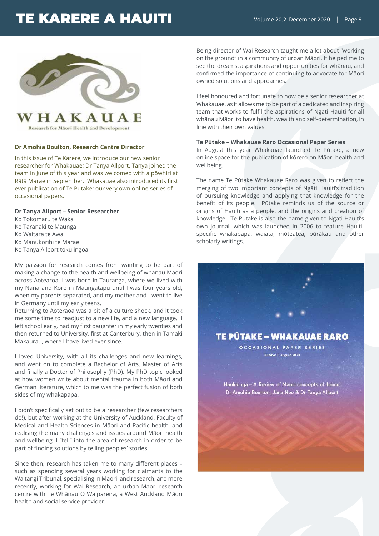

Research for Maori Health and Development

#### **Dr Amohia Boulton, Research Centre Director**

In this issue of Te Karere, we introduce our new senior researcher for Whakauae; Dr Tanya Allport. Tanya joined the team in June of this year and was welcomed with a pōwhiri at Rātā Marae in September. Whakauae also introduced its first ever publication of Te Pūtake; our very own online series of occasional papers.

#### **Dr Tanya Allport – Senior Researcher**

Ko Tokomaru te Waka Ko Taranaki te Maunga Ko Waitara te Awa Ko Manukorihi te Marae Ko Tanya Allport tōku ingoa

My passion for research comes from wanting to be part of making a change to the health and wellbeing of whānau Māori across Aotearoa. I was born in Tauranga, where we lived with my Nana and Koro in Maungatapu until I was four years old, when my parents separated, and my mother and I went to live in Germany until my early teens.

Returning to Aoteraoa was a bit of a culture shock, and it took me some time to readjust to a new life, and a new language. I left school early, had my first daughter in my early twenties and then returned to University, first at Canterbury, then in Tāmaki Makaurau, where I have lived ever since.

I loved University, with all its challenges and new learnings, and went on to complete a Bachelor of Arts, Master of Arts and finally a Doctor of Philosophy (PhD). My PhD topic looked at how women write about mental trauma in both Māori and German literature, which to me was the perfect fusion of both sides of my whakapapa.

I didn't specifically set out to be a researcher (few researchers do!), but after working at the University of Auckland, Faculty of Medical and Health Sciences in Māori and Pacific health, and realising the many challenges and issues around Māori health and wellbeing, I "fell" into the area of research in order to be part of finding solutions by telling peoples' stories.

Since then, research has taken me to many different places – such as spending several years working for claimants to the Waitangi Tribunal, specialising in Māori land research, and more recently, working for Wai Research, an urban Māori research centre with Te Whānau O Waipareira, a West Auckland Māori health and social service provider.

Being director of Wai Research taught me a lot about "working on the ground" in a community of urban Māori. It helped me to see the dreams, aspirations and opportunities for whānau, and confirmed the importance of continuing to advocate for Māori owned solutions and approaches.

I feel honoured and fortunate to now be a senior researcher at Whakauae, as it allows me to be part of a dedicated and inspiring team that works to fulfil the aspirations of Ngāti Hauiti for all whānau Māori to have health, wealth and self-determination, in line with their own values.

#### **Te Pūtake – Whakauae Raro Occasional Paper Series**

In August this year Whakauae launched Te Pūtake, a new online space for the publication of kōrero on Māori health and wellbeing.

The name Te Pūtake Whakauae Raro was given to reflect the merging of two important concepts of Ngāti Hauiti's tradition of pursuing knowledge and applying that knowledge for the benefit of its people. Pūtake reminds us of the source or origins of Hauiti as a people, and the origins and creation of knowledge. Te Pūtake is also the name given to Ngāti Hauiti's own journal, which was launched in 2006 to feature Hauitispecific whakapapa, waiata, mōteatea, pūrākau and other scholarly writings.

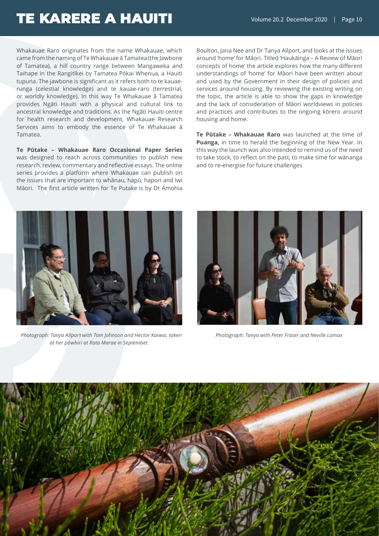Whakauae Raro originates from the name Whakauae, which came from the naming of Te Whakauae ā Tamatea (the Jawbone of Tamatea), a hill country range between Mangaweka and Taihape in the Rangitīkei by Tamatea Pōkai Whenua, a Hauiti tupuna. The jawbone is significant as it refers both to te kauaerunga (celestial knowledge) and te kauae-raro (terrestrial, or worldly knowledge). In this way Te Whakauae ā Tamatea provides Ngāti Hauiti with a physical and cultural link to ancestral knowledge and traditions. As the Ngāti Hauiti centre for health research and development, Whakauae Research Services aims to embody the essence of Te Whakauae ā Tamatea.

**Te Pūtake – Whakauae Raro Occasional Paper Series** was designed to reach across communities to publish new research, review, commentary and reflective essays. The online series provides a platform where Whakauae can publish on the issues that are important to whānau, hapū, hapori and Iwi Māori. The first article written for Te Putake is by Dr Amohia

Boulton, Jana Nee and Dr Tanya Allport, and looks at the issues around 'home' for Māori. Titled 'Haukāinga – A Review of Māori concepts of home' the article explores how the many different understandings of 'home' for Māori have been written about and used by the Government in their design of policies and services around housing. By reviewing the existing writing on the topic, the article is able to show the gaps in knowledge and the lack of consideration of Māori worldviews in policies and practices and contributes to the ongoing kōrero around housing and home.

**Te Pūtake – Whakauae Raro** was launched at the time of **Puanga,** in time to herald the beginning of the New Year. In this way the launch was also intended to remind us of the need to take stock, to reflect on the past, to make time for wānanga and to re-energise for future challenges



 *Photograph: Tanya Allport with Tom Johnson and Hector Kaiwai, taken at her pōwhiri at Rata Marae in September.*



*Photograph: Tanya with Peter Fraser and Neville Lomax*

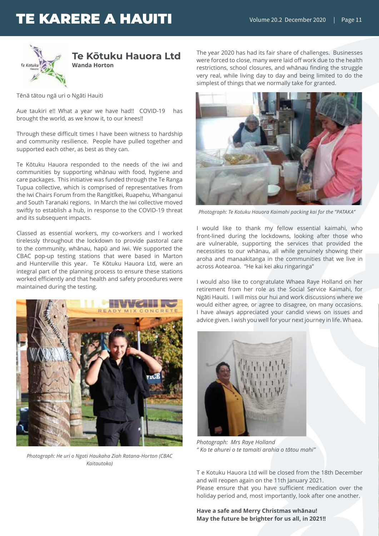

Tēnā tātou ngā uri o Ngāti Hauiti

Aue taukiri e!! What a year we have had!! COVID-19 has brought the world, as we know it, to our knees!!

Through these difficult times I have been witness to hardship and community resilience. People have pulled together and supported each other, as best as they can.

Te Kōtuku Hauora responded to the needs of the iwi and communities by supporting whānau with food, hygiene and care packages. This initiative was funded through the Te Ranga Tupua collective, which is comprised of representatives from the Iwi Chairs Forum from the Rangitīkei, Ruapehu, Whanganui and South Taranaki regions. In March the iwi collective moved swiftly to establish a hub, in response to the COVID-19 threat and its subsequent impacts.

Classed as essential workers, my co-workers and I worked tirelessly throughout the lockdown to provide pastoral care to the community, whānau, hapū and iwi. We supported the CBAC pop-up testing stations that were based in Marton and Hunterville this year. Te Kōtuku Hauora Ltd, were an integral part of the planning process to ensure these stations worked efficiently and that health and safety procedures were maintained during the testing.



*Photograph: He uri o Ngati Haukaha Ziah Ratana-Horton (CBAC Kaitautoko)*

The year 2020 has had its fair share of challenges. Businesses were forced to close, many were laid off work due to the health restrictions, school closures, and whānau finding the struggle very real, while living day to day and being limited to do the simplest of things that we normally take for granted.



*Photograph: Te Kotuku Hauora Kaimahi packing kai for the "PATAKA"*

I would like to thank my fellow essential kaimahi, who front-lined during the lockdowns, looking after those who are vulnerable, supporting the services that provided the necessities to our whānau, all while genuinely showing their aroha and manaakitanga in the communities that we live in across Aotearoa. "He kai kei aku ringaringa"

I would also like to congratulate Whaea Raye Holland on her retirement from her role as the Social Service Kaimahi, for Ngāti Hauiti. I will miss our hui and work discussions where we would either agree, or agree to disagree, on many occasions. I have always appreciated your candid views on issues and advice given. I wish you well for your next journey in life. Whaea.



*Photograph: Mrs Raye Holland " Ko te ahurei o te tamaiti arahia o tātou mahi"*

T e Kotuku Hauora Ltd will be closed from the 18th December and will reopen again on the 11th January 2021. Please ensure that you have sufficient medication over the holiday period and, most importantly, look after one another.

**Have a safe and Merry Christmas whānau! May the future be brighter for us all, in 2021!!**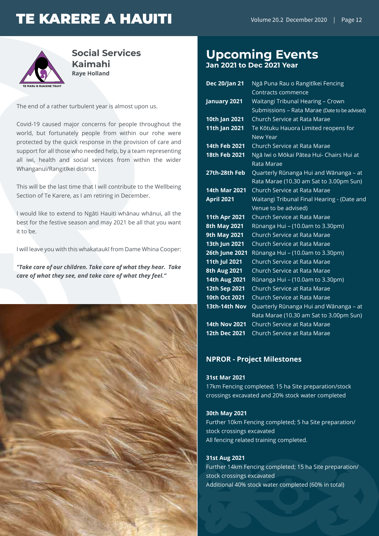

**Social Services Kaimahi Raye Holland**

The end of a rather turbulent year is almost upon us.

Covid-19 caused major concerns for people throughout the world, but fortunately people from within our rohe were protected by the quick response in the provision of care and support for all those who needed help, by a team representing all iwi, health and social services from within the wider Whanganui/Rangitīkei district.

This will be the last time that I will contribute to the Wellbeing Section of Te Karere, as I am retiring in December.

I would like to extend to Ngāti Hauiti whānau whānui, all the best for the festive season and may 2021 be all that you want it to be.

I will leave you with this whakataukī from Dame Whina Cooper:

*"Take care of our children. Take care of what they hear. Take care of what they see, and take care of what they feel."*



# **Upcoming Events**

**Jan 2021 to Dec 2021 Year**

| <b>Dec 20/Jan 21</b> | Ngā Puna Rau o Rangitīkei Fencing             |
|----------------------|-----------------------------------------------|
|                      | Contracts commence                            |
| January 2021         | Waitangi Tribunal Hearing - Crown             |
|                      | Submissions - Rata Marae (Date to be advised) |
| 10th Jan 2021        | Church Service at Rata Marae                  |
| 11th Jan 2021        | Te Kōtuku Hauora Limited reopens for          |
|                      | New Year                                      |
| 14th Feb 2021        | Church Service at Rata Marae                  |
| 18th Feb 2021        | Ngā Iwi o Mōkai Pātea Hui- Chairs Hui at      |
|                      | Rata Marae                                    |
| 27th-28th Feb        | Quarterly Rūnanga Hui and Wānanga - at        |
|                      | Rata Marae (10.30 am Sat to 3.00pm Sun)       |
| <b>14th Mar 2021</b> | Church Service at Rata Marae                  |
| <b>April 2021</b>    | Waitangi Tribunal Final Hearing - (Date and   |
|                      | Venue to be advised)                          |
| 11th Apr 2021        | Church Service at Rata Marae                  |
| <b>8th May 2021</b>  | Rūnanga Hui - (10.0am to 3.30pm)              |
| <b>9th May 2021</b>  | Church Service at Rata Marae                  |
| 13th Jun 2021        | Church Service at Rata Marae                  |
| 26th June 2021       | Rūnanga Hui - (10.0am to 3.30pm)              |
| 11th Jul 2021        | Church Service at Rata Marae                  |
| <b>8th Aug 2021</b>  | Church Service at Rata Marae                  |
| 14th Aug 2021        | Rūnanga Hui - (10.0am to 3.30pm)              |
| 12th Sep 2021        | Church Service at Rata Marae                  |
| 10th Oct 2021        | Church Service at Rata Marae                  |
| 13th-14th Nov        | Quarterly Rūnanga Hui and Wānanga - at        |
|                      | Rata Marae (10.30 am Sat to 3.00pm Sun)       |
| <b>14th Nov 2021</b> | Church Service at Rata Marae                  |
| 12th Dec 2021        | Church Service at Rata Marae                  |

#### **NPROR - Project Milestones**

#### **31st Mar 2021**

17km Fencing completed; 15 ha Site preparation/stock crossings excavated and 20% stock water completed

#### **30th May 2021**

Further 10km Fencing completed; 5 ha Site preparation/ stock crossings excavated All fencing related training completed.

#### **31st Aug 2021**

Further 14km Fencing completed; 15 ha Site preparation/ stock crossings excavated Additional 40% stock water completed (60% in total)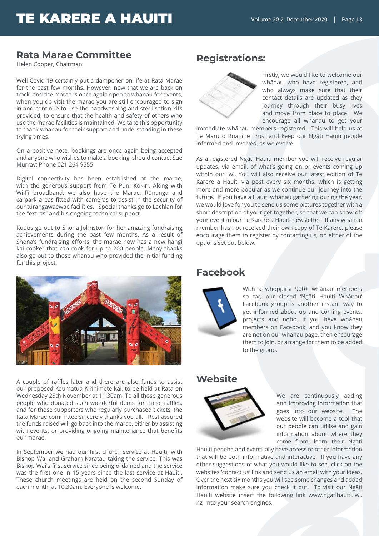### **Rata Marae Committee**

Helen Cooper, Chairman

Well Covid-19 certainly put a dampener on life at Rata Marae for the past few months. However, now that we are back on track, and the marae is once again open to whānau for events, when you do visit the marae you are still encouraged to sign in and continue to use the handwashing and sterilisation kits provided, to ensure that the health and safety of others who use the marae facilities is maintained. We take this opportunity to thank whānau for their support and understanding in these trying times.

On a positive note, bookings are once again being accepted and anyone who wishes to make a booking, should contact Sue Murray; Phone 021 264 9555.

Digital connectivity has been established at the marae, with the generous support from Te Puni Kōkiri. Along with Wi-Fi broadband, we also have the Marae, Rūnanga and carpark areas fitted with cameras to assist in the security of our tūrangawaewae facilities. Special thanks go to Lachlan for the "extras" and his ongoing technical support.

Kudos go out to Shona Johnston for her amazing fundraising achievements during the past few months. As a result of Shona's fundraising efforts, the marae now has a new hāngi kai cooker that can cook for up to 200 people. Many thanks also go out to those whānau who provided the initial funding for this project.



A couple of raffles later and there are also funds to assist our proposed Kaumātua Kirihimete kai, to be held at Rata on Wednesday 25th November at 11.30am. To all those generous people who donated such wonderful items for these raffles, and for those supporters who regularly purchased tickets, the Rata Marae committee sincerely thanks you all. Rest assured the funds raised will go back into the marae, either by assisting with events, or providing ongoing maintenance that benefits our marae.

In September we had our first church service at Hauiti, with Bishop Wai and Graham Karatau taking the service. This was Bishop Wai's first service since being ordained and the service was the first one in 15 years since the last service at Hauiti. These church meetings are held on the second Sunday of each month, at 10.30am. Everyone is welcome.

### **Registrations:**



Firstly, we would like to welcome our whānau who have registered, and who always make sure that their contact details are updated as they journey through their busy lives and move from place to place. We encourage all whānau to get your

immediate whānau members registered. This will help us at Te Maru o Ruahine Trust and keep our Ngāti Hauiti people informed and involved, as we evolve.

As a registered Ngāti Hauiti member you will receive regular updates, via email, of what's going on or events coming up within our iwi. You will also receive our latest edition of Te Karere a Hauiti via post every six months, which is getting more and more popular as we continue our journey into the future. If you have a Hauiti whānau gathering during the year, we would love for you to send us some pictures together with a short description of your get-together, so that we can show off your event in our Te Karere a Hauiti newsletter. If any whānau member has not received their own copy of Te Karere, please encourage them to register by contacting us, on either of the options set out below.

### **Facebook**



With a whopping 900+ whānau members so far, our closed 'Ngāti Hauiti Whānau' Facebook group is another instant way to get informed about up and coming events, projects and noho. If you have whānau members on Facebook, and you know they are not on our whānau page, then encourage them to join, or arrange for them to be added to the group.

### **Website**



We are continuously adding and improving information that goes into our website. The website will become a tool that our people can utilise and gain information about where they come from, learn their Ngāti

Hauiti pepeha and eventually have access to other information that will be both informative and interactive. If you have any other suggestions of what you would like to see, click on the websites 'contact us' link and send us an email with your ideas. Over the next six months you will see some changes and added information make sure you check it out. To visit our Ngāti Hauiti website insert the following link www.ngatihauiti.iwi. nz into your search engines.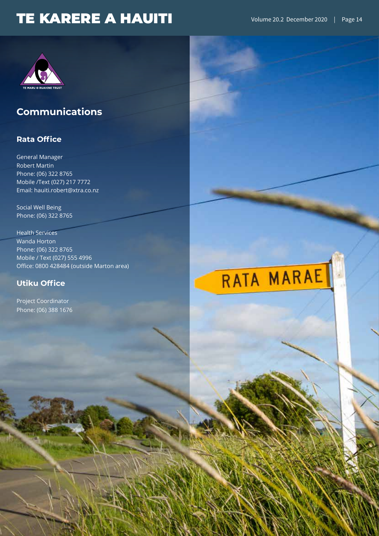

### **Communications**

### **Rata Office**

General Manager Robert Martin Phone: (06) 322 8765 Mobile /Text (027) 217 7772 Email: hauiti.robert@xtra.co.nz

Social Well Being Phone: (06) 322 8765

Health Services Wanda Horton Phone: (06) 322 8765 Mobile / Text (027) 555 4996 Office: 0800 428484 (outside Marton area)

### **Utiku Office**

Project Coordinator Phone: (06) 388 1676

# RATA MARAE